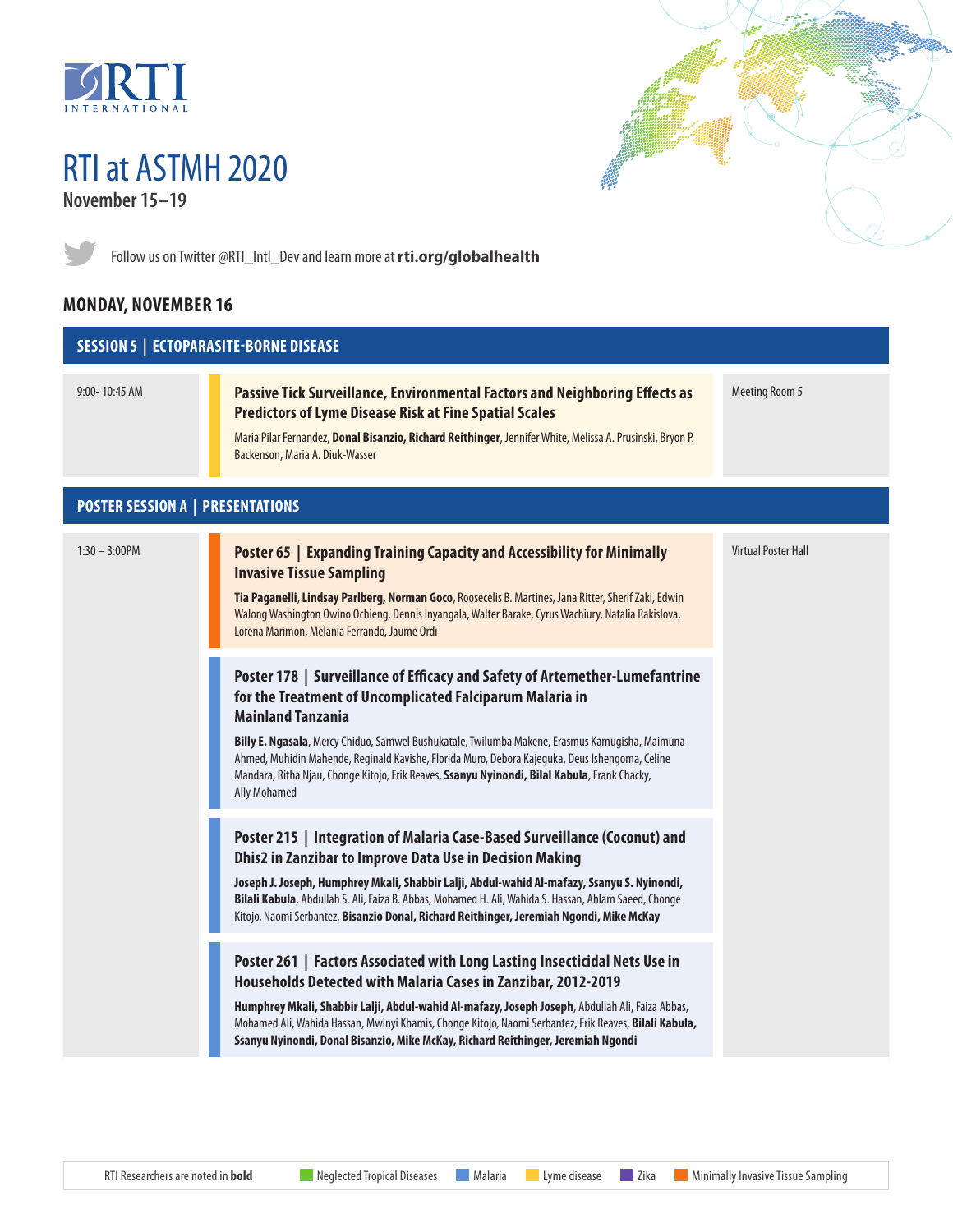

# RTI at ASTMH 2020 **November 15–19**



Follow us on Twitter @RTI\_Intl\_Dev and learn more at **[rti.org/globalhealth](http://rti.org/globalhealth)**

# **MONDAY, NOVEMBER 16**



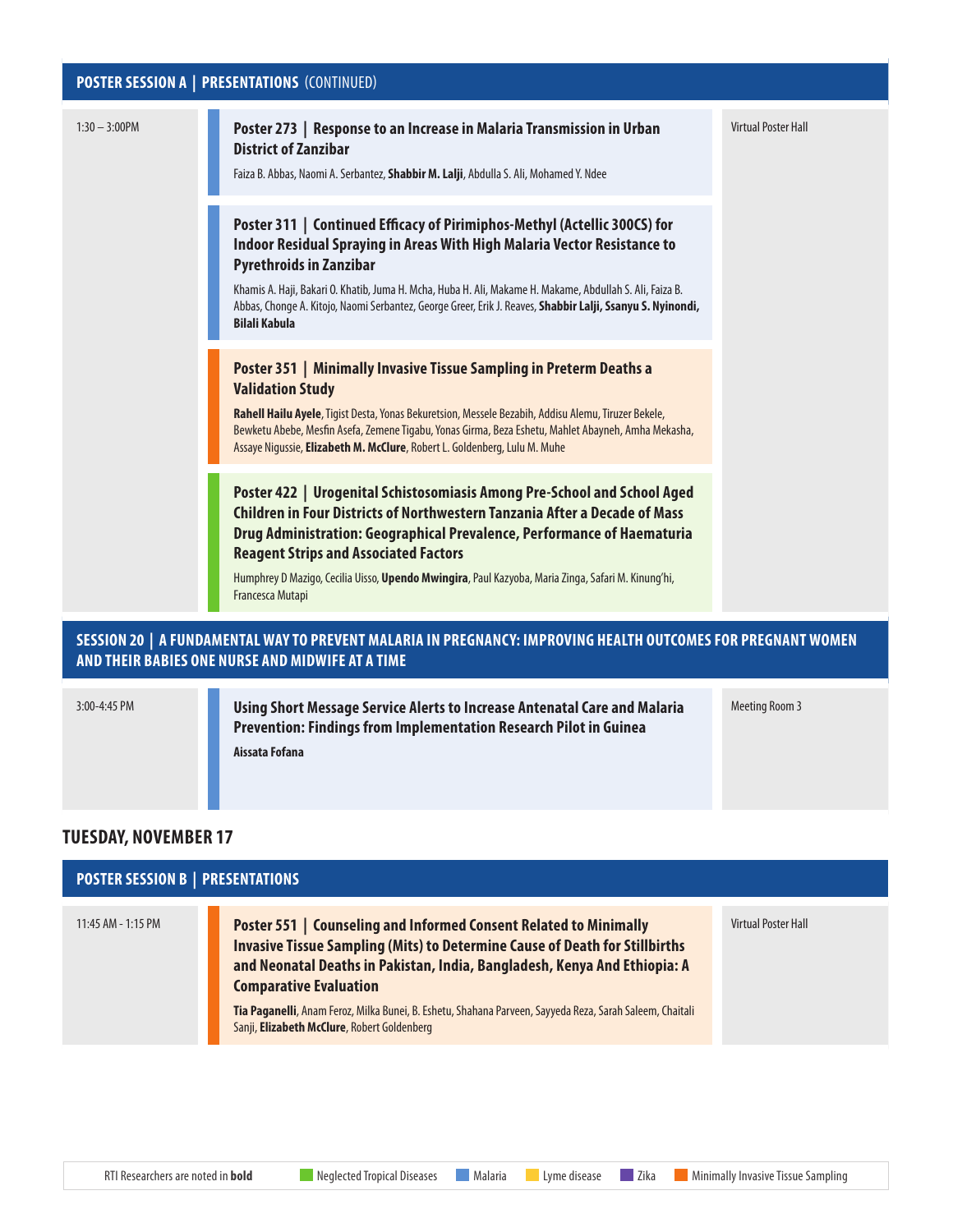# **POSTER SESSION A | PRESENTATIONS** (CONTINUED)

| Poster 273   Response to an Increase in Malaria Transmission in Urban<br><b>District of Zanzibar</b><br>Faiza B. Abbas, Naomi A. Serbantez, Shabbir M. Lalji, Abdulla S. Ali, Mohamed Y. Ndee                                                                                                                                                                                                                                             | <b>Virtual Poster Hall</b> |
|-------------------------------------------------------------------------------------------------------------------------------------------------------------------------------------------------------------------------------------------------------------------------------------------------------------------------------------------------------------------------------------------------------------------------------------------|----------------------------|
| Poster 311   Continued Efficacy of Pirimiphos-Methyl (Actellic 300CS) for<br>Indoor Residual Spraying in Areas With High Malaria Vector Resistance to<br><b>Pyrethroids in Zanzibar</b><br>Khamis A. Haji, Bakari O. Khatib, Juma H. Mcha, Huba H. Ali, Makame H. Makame, Abdullah S. Ali, Faiza B.<br>Abbas, Chonge A. Kitojo, Naomi Serbantez, George Greer, Erik J. Reaves, Shabbir Lalji, Ssanyu S. Nyinondi,<br><b>Bilali Kabula</b> |                            |
| Poster 351   Minimally Invasive Tissue Sampling in Preterm Deaths a<br><b>Validation Study</b><br>Rahell Hailu Ayele, Tigist Desta, Yonas Bekuretsion, Messele Bezabih, Addisu Alemu, Tiruzer Bekele,<br>Bewketu Abebe, Mesfin Asefa, Zemene Tigabu, Yonas Girma, Beza Eshetu, Mahlet Abayneh, Amha Mekasha,<br>Assaye Nigussie, Elizabeth M. McClure, Robert L. Goldenberg, Lulu M. Muhe                                                 |                            |
| Poster 422   Urogenital Schistosomiasis Among Pre-School and School Aged<br>Children in Four Districts of Northwestern Tanzania After a Decade of Mass<br>Drug Administration: Geographical Prevalence, Performance of Haematuria<br><b>Reagent Strips and Associated Factors</b><br>Humphrey D Mazigo, Cecilia Uisso, Upendo Mwingira, Paul Kazyoba, Maria Zinga, Safari M. Kinung'hi,<br>Francesca Mutapi                               |                            |
|                                                                                                                                                                                                                                                                                                                                                                                                                                           |                            |

## **SESSION 20 | A FUNDAMENTAL WAY TO PREVENT MALARIA IN PREGNANCY: IMPROVING HEALTH OUTCOMES FOR PREGNANT WOMEN AND THEIR BABIES ONE NURSE AND MIDWIFE AT A TIME**

í.

3:00-4:45 PM **[Using Short Message Service Alerts to Increase Antenatal Care and Malaria](https://www.abstractsonline.com/pp8/#!/9181/presentation/310)  [Prevention: Findings from Implementation Research Pilot in Guinea](https://www.abstractsonline.com/pp8/#!/9181/presentation/310) Aissata Fofana**

## **TUESDAY, NOVEMBER 17**

| <b>POSTER SESSION B   PRESENTATIONS</b> |                                                                                                                                                                                                                                                                                                                                                                                                                                         |                     |  |  |
|-----------------------------------------|-----------------------------------------------------------------------------------------------------------------------------------------------------------------------------------------------------------------------------------------------------------------------------------------------------------------------------------------------------------------------------------------------------------------------------------------|---------------------|--|--|
| $11:45$ AM - 1:15 PM                    | <b>Poster 551   Counseling and Informed Consent Related to Minimally</b><br><b>Invasive Tissue Sampling (Mits) to Determine Cause of Death for Stillbirths</b><br>and Neonatal Deaths in Pakistan, India, Bangladesh, Kenya And Ethiopia: A<br><b>Comparative Evaluation</b><br>Tia Paganelli, Anam Feroz, Milka Bunei, B. Eshetu, Shahana Parveen, Sayyeda Reza, Sarah Saleem, Chaitali<br>Sanji, Elizabeth McClure, Robert Goldenberg | Virtual Poster Hall |  |  |

Meeting Room 3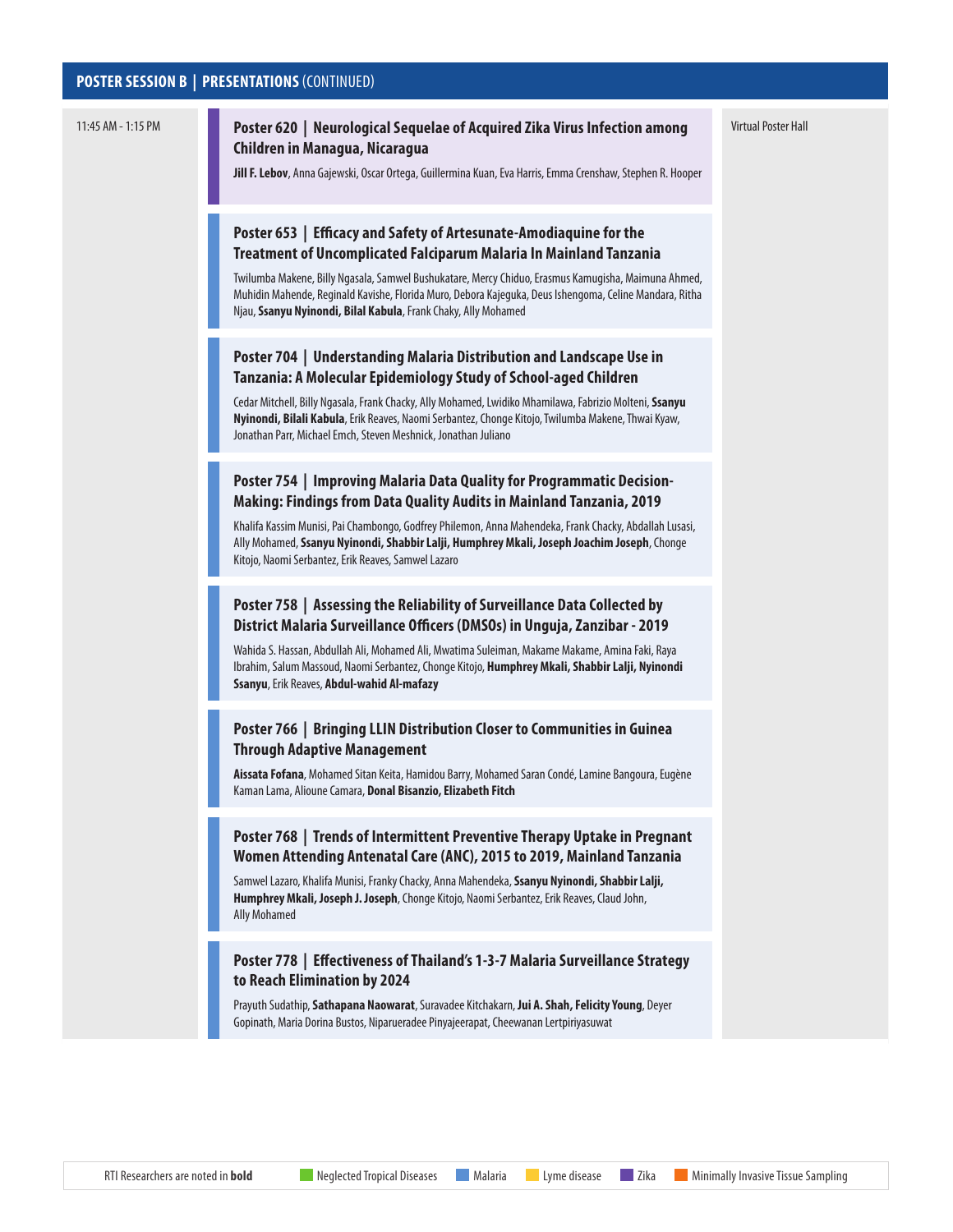#### **POSTER SESSION B | PRESENTATIONS** (CONTINUED)

#### 11:45 AM - 1:15 PM **[Poster 620 | Neurological Sequelae of Acquired Zika Virus Infection among](https://www.abstractsonline.com/pp8/#!/9181/presentation/3414)  [Children in Managua, Nicaragua](https://www.abstractsonline.com/pp8/#!/9181/presentation/3414)**

Virtual Poster Hall

**Jill F. Lebov**, Anna Gajewski, Oscar Ortega, Guillermina Kuan, Eva Harris, Emma Crenshaw, Stephen R. Hooper

#### **[Poster 653 | Efficacy and Safety of Artesunate-Amodiaquine for the](https://www.abstractsonline.com/pp8/#!/9181/presentation/3447)  [Treatment of Uncomplicated Falciparum Malaria In Mainland Tanzania](https://www.abstractsonline.com/pp8/#!/9181/presentation/3447)**

Twilumba Makene, Billy Ngasala, Samwel Bushukatare, Mercy Chiduo, Erasmus Kamugisha, Maimuna Ahmed, Muhidin Mahende, Reginald Kavishe, Florida Muro, Debora Kajeguka, Deus Ishengoma, Celine Mandara, Ritha Njau, **Ssanyu Nyinondi, Bilal Kabula**, Frank Chaky, Ally Mohamed

#### **[Poster 704 | Understanding Malaria Distribution and Landscape Use in](https://www.abstractsonline.com/pp8/#!/9181/presentation/3498)  [Tanzania: A Molecular Epidemiology Study of School-aged Children](https://www.abstractsonline.com/pp8/#!/9181/presentation/3498)**

Cedar Mitchell, Billy Ngasala, Frank Chacky, Ally Mohamed, Lwidiko Mhamilawa, Fabrizio Molteni, **Ssanyu Nyinondi, Bilali Kabula**, Erik Reaves, Naomi Serbantez, Chonge Kitojo, Twilumba Makene, Thwai Kyaw, Jonathan Parr, Michael Emch, Steven Meshnick, Jonathan Juliano

#### **[Poster 754 | Improving Malaria Data Quality for Programmatic Decision-](https://www.abstractsonline.com/pp8/#!/9181/presentation/3548)[Making: Findings from Data Quality Audits in Mainland Tanzania, 2019](https://www.abstractsonline.com/pp8/#!/9181/presentation/3548)**

Khalifa Kassim Munisi, Pai Chambongo, Godfrey Philemon, Anna Mahendeka, Frank Chacky, Abdallah Lusasi, Ally Mohamed, **Ssanyu Nyinondi, Shabbir Lalji, Humphrey Mkali, Joseph Joachim Joseph**, Chonge Kitojo, Naomi Serbantez, Erik Reaves, Samwel Lazaro

#### **[Poster 758 | Assessing the Reliability of Surveillance Data Collected by](https://www.abstractsonline.com/pp8/#!/9181/presentation/3552)  [District Malaria Surveillance Officers \(DMSOs\) in Unguja, Zanzibar - 2019](https://www.abstractsonline.com/pp8/#!/9181/presentation/3552)**

Wahida S. Hassan, Abdullah Ali, Mohamed Ali, Mwatima Suleiman, Makame Makame, Amina Faki, Raya Ibrahim, Salum Massoud, Naomi Serbantez, Chonge Kitojo, **Humphrey Mkali, Shabbir Lalji, Nyinondi Ssanyu**, Erik Reaves, **Abdul-wahid Al-mafazy**

#### **[Poster 766 | Bringing LLIN Distribution Closer to Communities in Guinea](https://www.abstractsonline.com/pp8/#!/9181/presentation/3560)  [Through Adaptive Management](https://www.abstractsonline.com/pp8/#!/9181/presentation/3560)**

**Aissata Fofana**, Mohamed Sitan Keita, Hamidou Barry, Mohamed Saran Condé, Lamine Bangoura, Eugène Kaman Lama, Alioune Camara, **Donal Bisanzio, Elizabeth Fitch**

#### **[Poster 768 |](https://www.abstractsonline.com/pp8/#!/9181/presentation/3562) Trends of Intermittent Preventive Therapy Uptake in Pregnant Women Attending Antenatal Care (ANC), 2015 to 2019, Mainland Tanzania**

Samwel Lazaro, Khalifa Munisi, Franky Chacky, Anna Mahendeka, **Ssanyu Nyinondi, Shabbir Lalji, Humphrey Mkali, Joseph J. Joseph**, Chonge Kitojo, Naomi Serbantez, Erik Reaves, Claud John, Ally Mohamed

#### **[Poster 778 | Effectiveness of Thailand's 1-3-7 Malaria Surveillance Strategy](https://www.abstractsonline.com/pp8/#!/9181/presentation/3572)  [to Reach Elimination by 2024](https://www.abstractsonline.com/pp8/#!/9181/presentation/3572)**

Prayuth Sudathip, **Sathapana Naowarat**, Suravadee Kitchakarn, **Jui A. Shah, Felicity Young**, Deyer Gopinath, Maria Dorina Bustos, Niparueradee Pinyajeerapat, Cheewanan Lertpiriyasuwat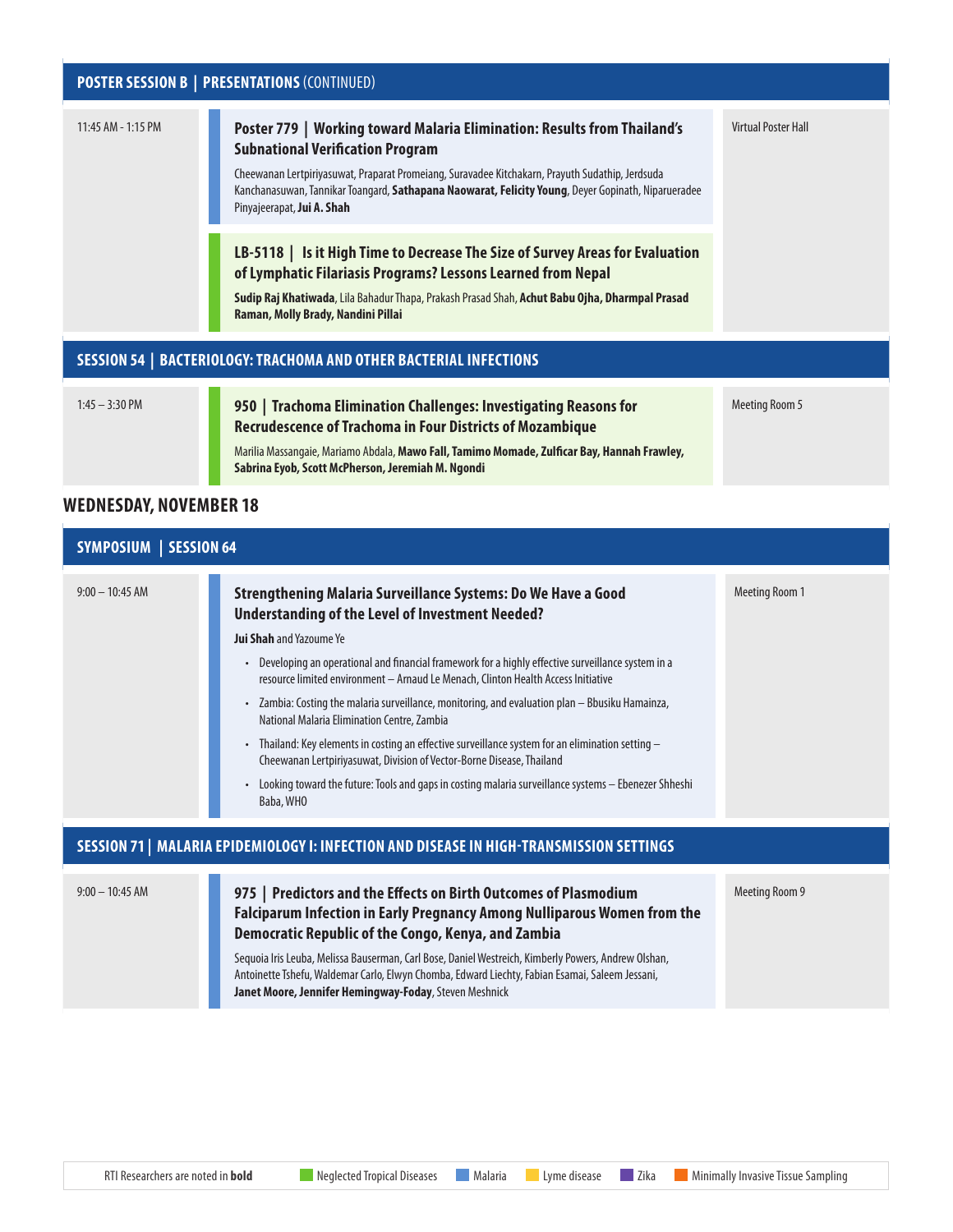# **POSTER SESSION B | PRESENTATIONS** (CONTINUED) 11:45 AM - 1:15 PM **[Poster 779 | Working toward Malaria Elimination: Results from Thailand's](https://www.abstractsonline.com/pp8/#!/9181/presentation/3573)  [Subnational Verification Program](https://www.abstractsonline.com/pp8/#!/9181/presentation/3573)** Cheewanan Lertpiriyasuwat, Praparat Promeiang, Suravadee Kitchakarn, Prayuth Sudathip, Jerdsuda Kanchanasuwan, Tannikar Toangard, **Sathapana Naowarat, Felicity Young**, Deyer Gopinath, Niparueradee Pinyajeerapat, **Jui A. Shah** Virtual Poster Hall **[LB-5118 | Is it High Time to Decrease The Size of Survey Areas for Evaluation](https://www.abstractsonline.com/pp8/#!/9181/presentation/4980)  [of Lymphatic Filariasis Programs? Lessons Learned from Nepal](https://www.abstractsonline.com/pp8/#!/9181/presentation/4980) Sudip Raj Khatiwada**, Lila Bahadur Thapa, Prakash Prasad Shah, **Achut Babu Ojha, Dharmpal Prasad Raman, Molly Brady, Nandini Pillai SESSION 54 | BACTERIOLOGY: TRACHOMA AND OTHER BACTERIAL INFECTIONS** 1:45 – 3:30 PM **[950 | Trachoma Elimination Challenges: Investigating Reasons for](https://www.abstractsonline.com/pp8/#!/9181/presentation/1436)  [Recrudescence of Trachoma in Four Districts of Mozambique](https://www.abstractsonline.com/pp8/#!/9181/presentation/1436)** Marilia Massangaie, Mariamo Abdala, **Mawo Fall, Tamimo Momade, Zulficar Bay, Hannah Frawley,**  Meeting Room 5

**Sabrina Eyob, Scott McPherson, Jeremiah M. Ngondi**

### **WEDNESDAY, NOVEMBER 18**

| <b>SYMPOSIUM   SESSION 64</b>                                                            |                                                                                                                                                                                                                                                                  |                       |  |  |
|------------------------------------------------------------------------------------------|------------------------------------------------------------------------------------------------------------------------------------------------------------------------------------------------------------------------------------------------------------------|-----------------------|--|--|
| $9:00 - 10:45$ AM                                                                        | <b>Strengthening Malaria Surveillance Systems: Do We Have a Good</b><br>Understanding of the Level of Investment Needed?                                                                                                                                         | <b>Meeting Room 1</b> |  |  |
|                                                                                          | <b>Jui Shah</b> and Yazoume Ye                                                                                                                                                                                                                                   |                       |  |  |
|                                                                                          | Developing an operational and financial framework for a highly effective surveillance system in a<br>$\bullet$<br>resource limited environment - Arnaud Le Menach, Clinton Health Access Initiative                                                              |                       |  |  |
|                                                                                          | Zambia: Costing the malaria surveillance, monitoring, and evaluation plan - Bbusiku Hamainza,<br>$\bullet$<br>National Malaria Elimination Centre, Zambia                                                                                                        |                       |  |  |
|                                                                                          | Thailand: Key elements in costing an effective surveillance system for an elimination setting -<br>$\bullet$<br>Cheewanan Lertpiriyasuwat, Division of Vector-Borne Disease, Thailand                                                                            |                       |  |  |
|                                                                                          | Looking toward the future: Tools and gaps in costing malaria surveillance systems - Ebenezer Shheshi<br>Baba, WHO                                                                                                                                                |                       |  |  |
| SESSION 71   MALARIA EPIDEMIOLOGY I: INFECTION AND DISEASE IN HIGH-TRANSMISSION SETTINGS |                                                                                                                                                                                                                                                                  |                       |  |  |
| $9:00 - 10:45$ AM                                                                        | 975   Predictors and the Effects on Birth Outcomes of Plasmodium<br><b>Falciparum Infection in Early Pregnancy Among Nulliparous Women from the</b><br>Democratic Republic of the Congo, Kenya, and Zambia                                                       | Meeting Room 9        |  |  |
|                                                                                          | Sequoia Iris Leuba, Melissa Bauserman, Carl Bose, Daniel Westreich, Kimberly Powers, Andrew Olshan,<br>Antoinette Tshefu, Waldemar Carlo, Elwyn Chomba, Edward Liechty, Fabian Esamai, Saleem Jessani,<br>Janet Moore, Jennifer Hemingway-Foday, Steven Meshnick |                       |  |  |

RTI Researchers are noted in **bold** Neglected Tropical Diseases Malaria Lyme disease Zika Minimally Invasive Tissue Sampling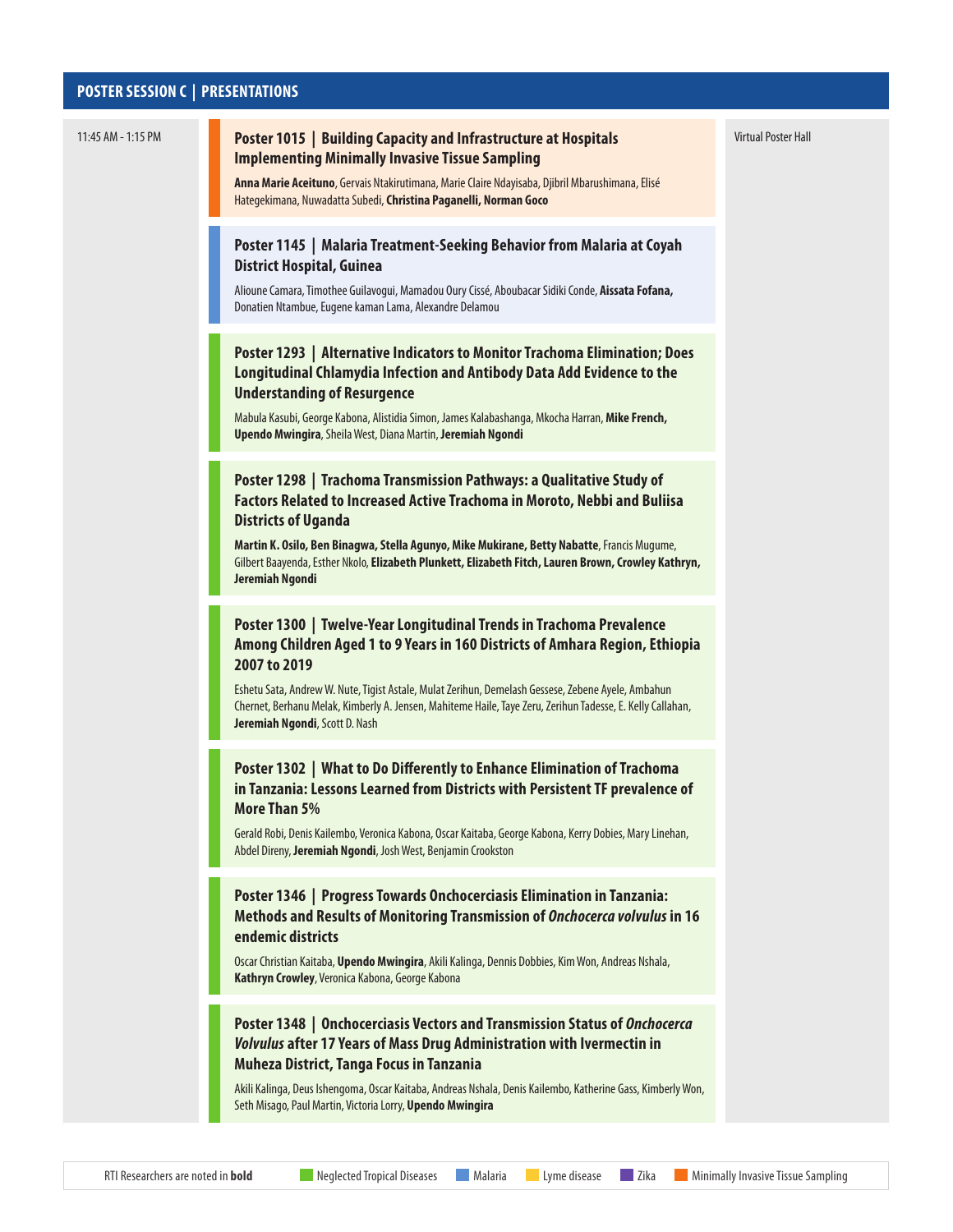#### **POSTER SESSION C | PRESENTATIONS**



Virtual Poster Hall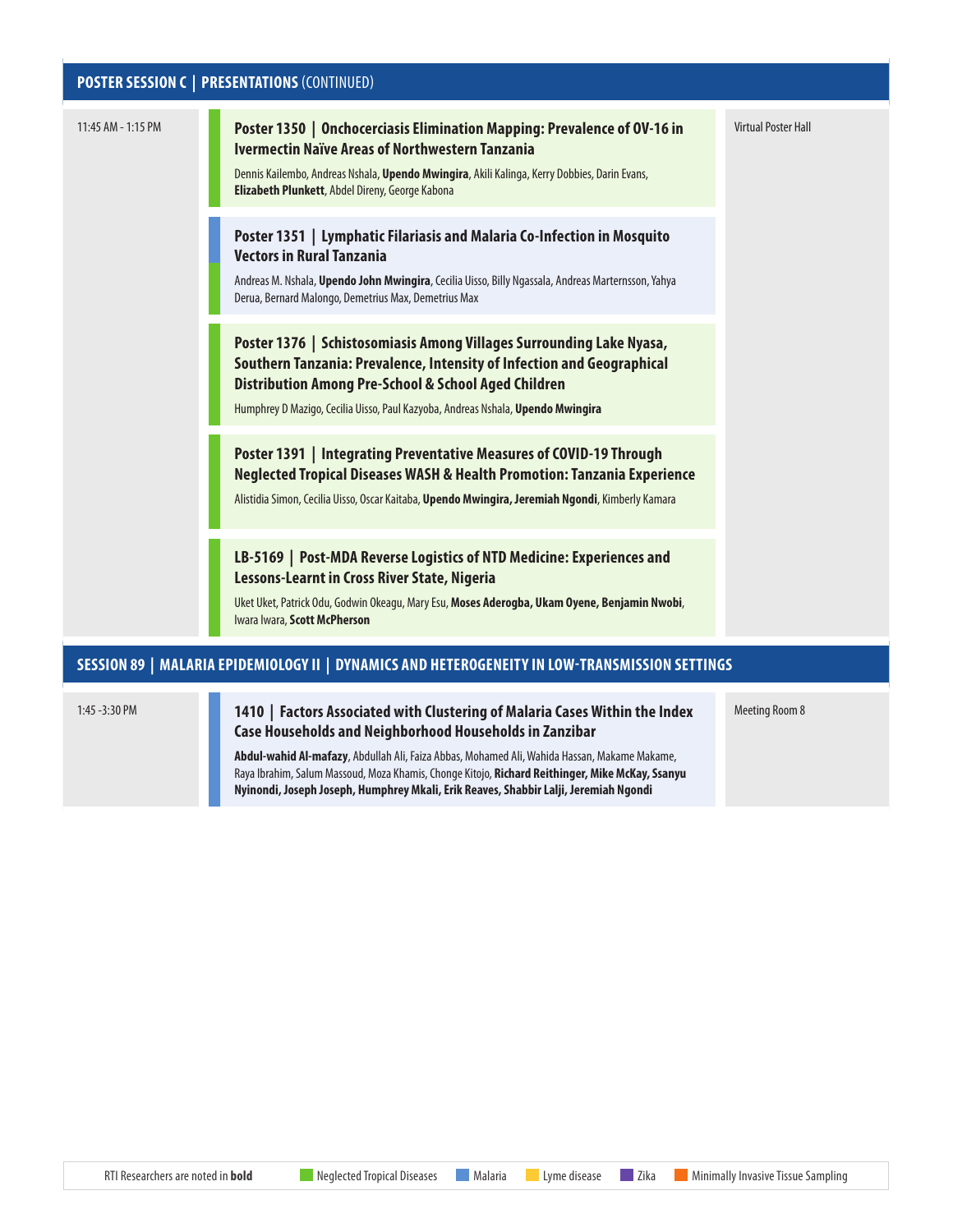# **POSTER SESSION C | PRESENTATIONS** (CONTINUED)

| 11:45 AM - 1:15 PM                                                                             | Poster 1350   Onchocerciasis Elimination Mapping: Prevalence of OV-16 in<br>Ivermectin Naïve Areas of Northwestern Tanzania<br>Dennis Kailembo, Andreas Nshala, Upendo Mwingira, Akili Kalinga, Kerry Dobbies, Darin Evans,<br>Elizabeth Plunkett, Abdel Direny, George Kabona            | <b>Virtual Poster Hall</b> |  |
|------------------------------------------------------------------------------------------------|-------------------------------------------------------------------------------------------------------------------------------------------------------------------------------------------------------------------------------------------------------------------------------------------|----------------------------|--|
|                                                                                                | Poster 1351   Lymphatic Filariasis and Malaria Co-Infection in Mosquito<br><b>Vectors in Rural Tanzania</b><br>Andreas M. Nshala, Upendo John Mwingira, Cecilia Uisso, Billy Ngassala, Andreas Marternsson, Yahya<br>Derua, Bernard Malongo, Demetrius Max, Demetrius Max                 |                            |  |
|                                                                                                | Poster 1376   Schistosomiasis Among Villages Surrounding Lake Nyasa,<br>Southern Tanzania: Prevalence, Intensity of Infection and Geographical<br>Distribution Among Pre-School & School Aged Children<br>Humphrey D Mazigo, Cecilia Uisso, Paul Kazyoba, Andreas Nshala, Upendo Mwingira |                            |  |
|                                                                                                | Poster 1391   Integrating Preventative Measures of COVID-19 Through<br>Neglected Tropical Diseases WASH & Health Promotion: Tanzania Experience<br>Alistidia Simon, Cecilia Uisso, Oscar Kaitaba, Upendo Mwingira, Jeremiah Ngondi, Kimberly Kamara                                       |                            |  |
|                                                                                                | LB-5169   Post-MDA Reverse Logistics of NTD Medicine: Experiences and<br>Lessons-Learnt in Cross River State, Nigeria<br>Uket Uket, Patrick Odu, Godwin Okeagu, Mary Esu, Moses Aderogba, Ukam Oyene, Benjamin Nwobi,<br>Iwara Iwara, Scott McPherson                                     |                            |  |
| SESSION 89   MALARIA EPIDEMIOLOGY II   DYNAMICS AND HETEROGENEITY IN LOW-TRANSMISSION SETTINGS |                                                                                                                                                                                                                                                                                           |                            |  |
| 1:45 - 3:30 PM                                                                                 | 1410   Factors Associated with Clustering of Malaria Cases Within the Index                                                                                                                                                                                                               | <b>Meeting Room 8</b>      |  |

**[Case Households and Neighborhood Households in Zanzibar](https://www.abstractsonline.com/pp8/#!/9181/presentation/1490)**

**Abdul-wahid Al-mafazy**, Abdullah Ali, Faiza Abbas, Mohamed Ali, Wahida Hassan, Makame Makame, Raya Ibrahim, Salum Massoud, Moza Khamis, Chonge Kitojo, **Richard Reithinger, Mike McKay, Ssanyu Nyinondi, Joseph Joseph, Humphrey Mkali, Erik Reaves, Shabbir Lalji, Jeremiah Ngondi**